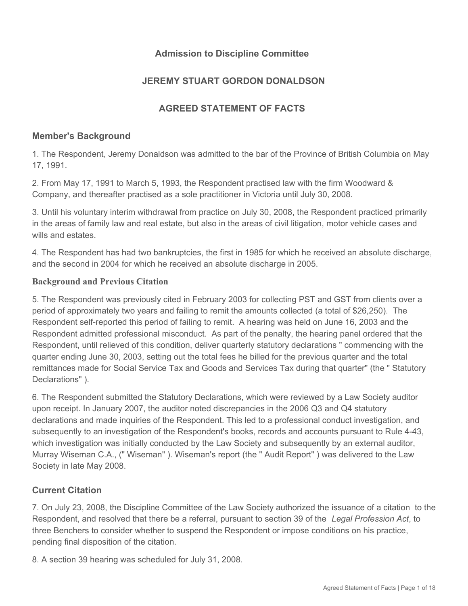## **Admission to Discipline Committee**

## **JEREMY STUART GORDON DONALDSON**

## **AGREED STATEMENT OF FACTS**

#### **Member's Background**

1. The Respondent, Jeremy Donaldson was admitted to the bar of the Province of British Columbia on May 17, 1991.

2. From May 17, 1991 to March 5, 1993, the Respondent practised law with the firm Woodward & Company, and thereafter practised as a sole practitioner in Victoria until July 30, 2008.

3. Until his voluntary interim withdrawal from practice on July 30, 2008, the Respondent practiced primarily in the areas of family law and real estate, but also in the areas of civil litigation, motor vehicle cases and wills and estates.

4. The Respondent has had two bankruptcies, the first in 1985 for which he received an absolute discharge, and the second in 2004 for which he received an absolute discharge in 2005.

#### **Background and Previous Citation**

5. The Respondent was previously cited in February 2003 for collecting PST and GST from clients over a period of approximately two years and failing to remit the amounts collected (a total of \$26,250). The Respondent self-reported this period of failing to remit. A hearing was held on June 16, 2003 and the Respondent admitted professional misconduct. As part of the penalty, the hearing panel ordered that the Respondent, until relieved of this condition, deliver quarterly statutory declarations " commencing with the quarter ending June 30, 2003, setting out the total fees he billed for the previous quarter and the total remittances made for Social Service Tax and Goods and Services Tax during that quarter" (the " Statutory Declarations" ).

6. The Respondent submitted the Statutory Declarations, which were reviewed by a Law Society auditor upon receipt. In January 2007, the auditor noted discrepancies in the 2006 Q3 and Q4 statutory declarations and made inquiries of the Respondent. This led to a professional conduct investigation, and subsequently to an investigation of the Respondent's books, records and accounts pursuant to Rule 4-43, which investigation was initially conducted by the Law Society and subsequently by an external auditor, Murray Wiseman C.A., (" Wiseman" ). Wiseman's report (the " Audit Report" ) was delivered to the Law Society in late May 2008.

## **Current Citation**

7. On July 23, 2008, the Discipline Committee of the Law Society authorized the issuance of a citation to the Respondent, and resolved that there be a referral, pursuant to section 39 of the *Legal Profession Act*, to three Benchers to consider whether to suspend the Respondent or impose conditions on his practice, pending final disposition of the citation.

8. A section 39 hearing was scheduled for July 31, 2008.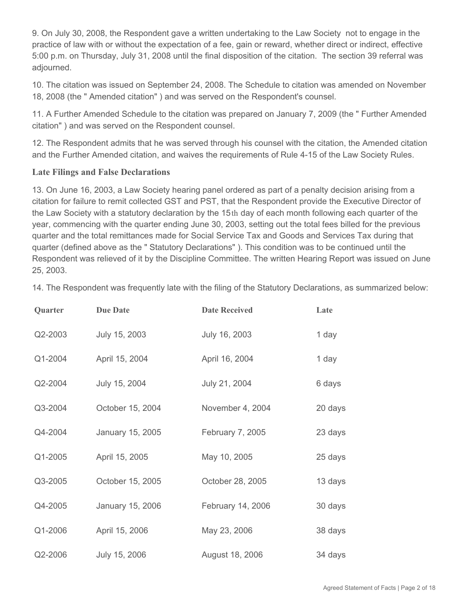9. On July 30, 2008, the Respondent gave a written undertaking to the Law Society not to engage in the practice of law with or without the expectation of a fee, gain or reward, whether direct or indirect, effective 5:00 p.m. on Thursday, July 31, 2008 until the final disposition of the citation. The section 39 referral was adjourned.

10. The citation was issued on September 24, 2008. The Schedule to citation was amended on November 18, 2008 (the " Amended citation" ) and was served on the Respondent's counsel.

11. A Further Amended Schedule to the citation was prepared on January 7, 2009 (the " Further Amended citation" ) and was served on the Respondent counsel.

12. The Respondent admits that he was served through his counsel with the citation, the Amended citation and the Further Amended citation, and waives the requirements of Rule 4-15 of the Law Society Rules.

### **Late Filings and False Declarations**

13. On June 16, 2003, a Law Society hearing panel ordered as part of a penalty decision arising from a citation for failure to remit collected GST and PST, that the Respondent provide the Executive Director of the Law Society with a statutory declaration by the 15th day of each month following each quarter of the year, commencing with the quarter ending June 30, 2003, setting out the total fees billed for the previous quarter and the total remittances made for Social Service Tax and Goods and Services Tax during that quarter (defined above as the " Statutory Declarations" ). This condition was to be continued until the Respondent was relieved of it by the Discipline Committee. The written Hearing Report was issued on June 25, 2003.

| Quarter | <b>Due Date</b>  | <b>Date Received</b> | Late    |
|---------|------------------|----------------------|---------|
| Q2-2003 | July 15, 2003    | July 16, 2003        | 1 day   |
| Q1-2004 | April 15, 2004   | April 16, 2004       | 1 day   |
| Q2-2004 | July 15, 2004    | July 21, 2004        | 6 days  |
| Q3-2004 | October 15, 2004 | November 4, 2004     | 20 days |
| Q4-2004 | January 15, 2005 | February 7, 2005     | 23 days |
| Q1-2005 | April 15, 2005   | May 10, 2005         | 25 days |
| Q3-2005 | October 15, 2005 | October 28, 2005     | 13 days |
| Q4-2005 | January 15, 2006 | February 14, 2006    | 30 days |
| Q1-2006 | April 15, 2006   | May 23, 2006         | 38 days |
| Q2-2006 | July 15, 2006    | August 18, 2006      | 34 days |

14. The Respondent was frequently late with the filing of the Statutory Declarations, as summarized below: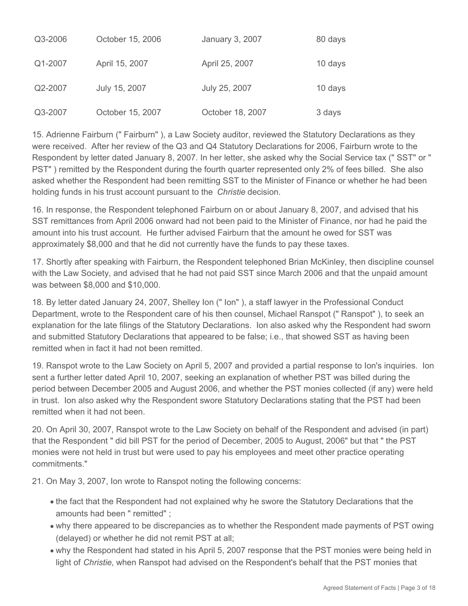| Q3-2006 | October 15, 2006 | January 3, 2007  | 80 days |
|---------|------------------|------------------|---------|
| Q1-2007 | April 15, 2007   | April 25, 2007   | 10 days |
| Q2-2007 | July 15, 2007    | July 25, 2007    | 10 days |
| Q3-2007 | October 15, 2007 | October 18, 2007 | 3 days  |

15. Adrienne Fairburn (" Fairburn" ), a Law Society auditor, reviewed the Statutory Declarations as they were received. After her review of the Q3 and Q4 Statutory Declarations for 2006, Fairburn wrote to the Respondent by letter dated January 8, 2007. In her letter, she asked why the Social Service tax (" SST" or " PST" ) remitted by the Respondent during the fourth quarter represented only 2% of fees billed. She also asked whether the Respondent had been remitting SST to the Minister of Finance or whether he had been holding funds in his trust account pursuant to the *Christie* decision.

16. In response, the Respondent telephoned Fairburn on or about January 8, 2007, and advised that his SST remittances from April 2006 onward had not been paid to the Minister of Finance, nor had he paid the amount into his trust account. He further advised Fairburn that the amount he owed for SST was approximately \$8,000 and that he did not currently have the funds to pay these taxes.

17. Shortly after speaking with Fairburn, the Respondent telephoned Brian McKinley, then discipline counsel with the Law Society, and advised that he had not paid SST since March 2006 and that the unpaid amount was between \$8,000 and \$10,000.

18. By letter dated January 24, 2007, Shelley Ion (" Ion" ), a staff lawyer in the Professional Conduct Department, wrote to the Respondent care of his then counsel, Michael Ranspot (" Ranspot" ), to seek an explanation for the late filings of the Statutory Declarations. Ion also asked why the Respondent had sworn and submitted Statutory Declarations that appeared to be false; i.e., that showed SST as having been remitted when in fact it had not been remitted.

19. Ranspot wrote to the Law Society on April 5, 2007 and provided a partial response to Ion's inquiries. Ion sent a further letter dated April 10, 2007, seeking an explanation of whether PST was billed during the period between December 2005 and August 2006, and whether the PST monies collected (if any) were held in trust. Ion also asked why the Respondent swore Statutory Declarations stating that the PST had been remitted when it had not been.

20. On April 30, 2007, Ranspot wrote to the Law Society on behalf of the Respondent and advised (in part) that the Respondent " did bill PST for the period of December, 2005 to August, 2006" but that " the PST monies were not held in trust but were used to pay his employees and meet other practice operating commitments."

21. On May 3, 2007, Ion wrote to Ranspot noting the following concerns:

- the fact that the Respondent had not explained why he swore the Statutory Declarations that the amounts had been " remitted" ;
- why there appeared to be discrepancies as to whether the Respondent made payments of PST owing (delayed) or whether he did not remit PST at all;
- why the Respondent had stated in his April 5, 2007 response that the PST monies were being held in light of *Christie*, when Ranspot had advised on the Respondent's behalf that the PST monies that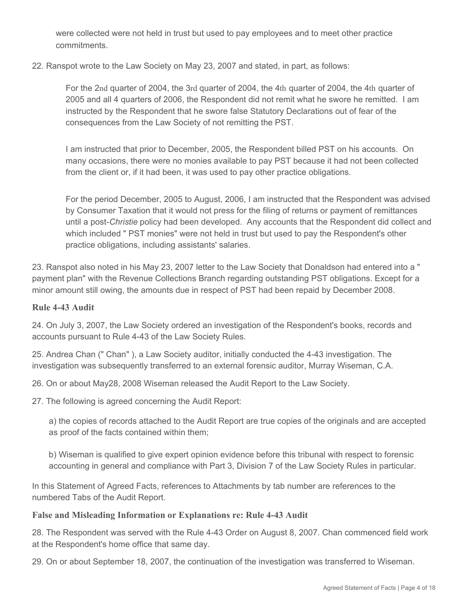were collected were not held in trust but used to pay employees and to meet other practice commitments.

22. Ranspot wrote to the Law Society on May 23, 2007 and stated, in part, as follows:

For the 2nd quarter of 2004, the 3rd quarter of 2004, the 4th quarter of 2004, the 4th quarter of 2005 and all 4 quarters of 2006, the Respondent did not remit what he swore he remitted. I am instructed by the Respondent that he swore false Statutory Declarations out of fear of the consequences from the Law Society of not remitting the PST.

I am instructed that prior to December, 2005, the Respondent billed PST on his accounts. On many occasions, there were no monies available to pay PST because it had not been collected from the client or, if it had been, it was used to pay other practice obligations.

For the period December, 2005 to August, 2006, I am instructed that the Respondent was advised by Consumer Taxation that it would not press for the filing of returns or payment of remittances until a post-*Christie* policy had been developed. Any accounts that the Respondent did collect and which included " PST monies" were not held in trust but used to pay the Respondent's other practice obligations, including assistants' salaries.

23. Ranspot also noted in his May 23, 2007 letter to the Law Society that Donaldson had entered into a " payment plan" with the Revenue Collections Branch regarding outstanding PST obligations. Except for a minor amount still owing, the amounts due in respect of PST had been repaid by December 2008.

#### **Rule 4-43 Audit**

24. On July 3, 2007, the Law Society ordered an investigation of the Respondent's books, records and accounts pursuant to Rule 4-43 of the Law Society Rules.

25. Andrea Chan (" Chan" ), a Law Society auditor, initially conducted the 4-43 investigation. The investigation was subsequently transferred to an external forensic auditor, Murray Wiseman, C.A.

26. On or about May28, 2008 Wiseman released the Audit Report to the Law Society.

27. The following is agreed concerning the Audit Report:

a) the copies of records attached to the Audit Report are true copies of the originals and are accepted as proof of the facts contained within them;

b) Wiseman is qualified to give expert opinion evidence before this tribunal with respect to forensic accounting in general and compliance with Part 3, Division 7 of the Law Society Rules in particular.

In this Statement of Agreed Facts, references to Attachments by tab number are references to the numbered Tabs of the Audit Report.

#### **False and Misleading Information or Explanations re: Rule 4-43 Audit**

28. The Respondent was served with the Rule 4-43 Order on August 8, 2007. Chan commenced field work at the Respondent's home office that same day.

29. On or about September 18, 2007, the continuation of the investigation was transferred to Wiseman.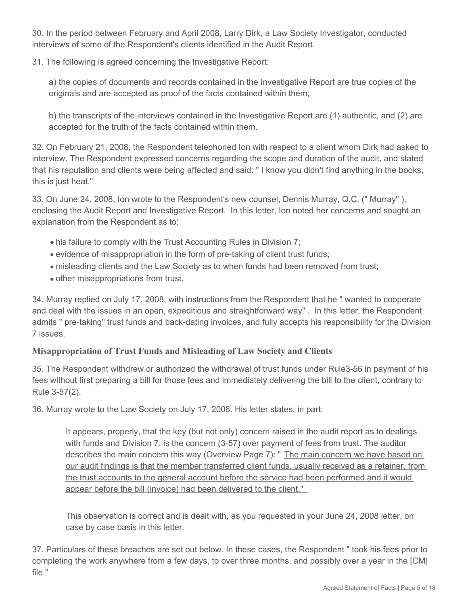30. In the period between February and April 2008, Larry Dirk, a Law Society Investigator, conducted interviews of some of the Respondent's clients identified in the Audit Report.

31. The following is agreed concerning the Investigative Report:

a) the copies of documents and records contained in the Investigative Report are true copies of the originals and are accepted as proof of the facts contained within them;

b) the transcripts of the interviews contained in the Investigative Report are (1) authentic, and (2) are accepted for the truth of the facts contained within them.

32. On February 21, 2008, the Respondent telephoned Ion with respect to a client whom Dirk had asked to interview. The Respondent expressed concerns regarding the scope and duration of the audit, and stated that his reputation and clients were being affected and said: " I know you didn't find anything in the books, this is just heat."

33. On June 24, 2008, Ion wrote to the Respondent's new counsel, Dennis Murray, Q.C. (" Murray" ), enclosing the Audit Report and Investigative Report. In this letter, Ion noted her concerns and sought an explanation from the Respondent as to:

- his failure to comply with the Trust Accounting Rules in Division 7;
- evidence of misappropriation in the form of pre-taking of client trust funds;
- misleading clients and the Law Society as to when funds had been removed from trust;
- other misappropriations from trust.

34. Murray replied on July 17, 2008, with instructions from the Respondent that he " wanted to cooperate and deal with the issues in an open, expeditious and straightforward way" . In this letter, the Respondent admits " pre-taking" trust funds and back-dating invoices, and fully accepts his responsibility for the Division 7 issues.

### **Misappropriation of Trust Funds and Misleading of Law Society and Clients**

35. The Respondent withdrew or authorized the withdrawal of trust funds under Rule3-56 in payment of his fees without first preparing a bill for those fees and immediately delivering the bill to the client, contrary to Rule 3-57(2).

36. Murray wrote to the Law Society on July 17, 2008. His letter states, in part:

It appears, properly, that the key (but not only) concern raised in the audit report as to dealings with funds and Division 7, is the concern (3-57) over payment of fees from trust. The auditor describes the main concern this way (Overview Page 7): " The main concern we have based on our audit findings is that the member transferred client funds, usually received as a retainer, from the trust accounts to the general account before the service had been performed and it would appear before the bill (invoice) had been delivered to the client."

This observation is correct and is dealt with, as you requested in your June 24, 2008 letter, on case by case basis in this letter.

37. Particulars of these breaches are set out below. In these cases, the Respondent " took his fees prior to completing the work anywhere from a few days, to over three months, and possibly over a year in the [CM] file."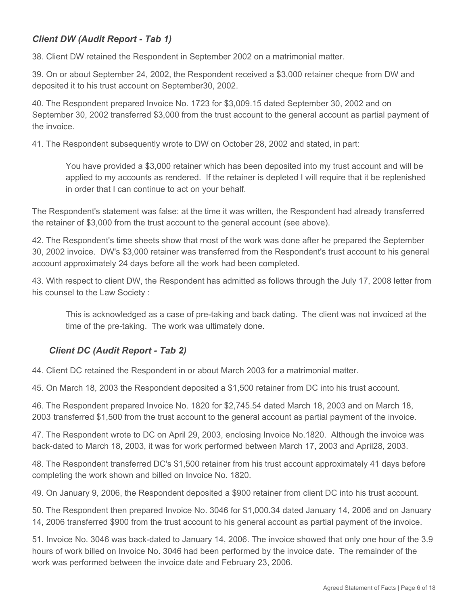## *Client DW (Audit Report - Tab 1)*

38. Client DW retained the Respondent in September 2002 on a matrimonial matter.

39. On or about September 24, 2002, the Respondent received a \$3,000 retainer cheque from DW and deposited it to his trust account on September30, 2002.

40. The Respondent prepared Invoice No. 1723 for \$3,009.15 dated September 30, 2002 and on September 30, 2002 transferred \$3,000 from the trust account to the general account as partial payment of the invoice.

41. The Respondent subsequently wrote to DW on October 28, 2002 and stated, in part:

You have provided a \$3,000 retainer which has been deposited into my trust account and will be applied to my accounts as rendered. If the retainer is depleted I will require that it be replenished in order that I can continue to act on your behalf.

The Respondent's statement was false: at the time it was written, the Respondent had already transferred the retainer of \$3,000 from the trust account to the general account (see above).

42. The Respondent's time sheets show that most of the work was done after he prepared the September 30, 2002 invoice. DW's \$3,000 retainer was transferred from the Respondent's trust account to his general account approximately 24 days before all the work had been completed.

43. With respect to client DW, the Respondent has admitted as follows through the July 17, 2008 letter from his counsel to the Law Society :

This is acknowledged as a case of pre-taking and back dating. The client was not invoiced at the time of the pre-taking. The work was ultimately done.

## *Client DC (Audit Report - Tab 2)*

44. Client DC retained the Respondent in or about March 2003 for a matrimonial matter.

45. On March 18, 2003 the Respondent deposited a \$1,500 retainer from DC into his trust account.

46. The Respondent prepared Invoice No. 1820 for \$2,745.54 dated March 18, 2003 and on March 18, 2003 transferred \$1,500 from the trust account to the general account as partial payment of the invoice.

47. The Respondent wrote to DC on April 29, 2003, enclosing Invoice No.1820. Although the invoice was back-dated to March 18, 2003, it was for work performed between March 17, 2003 and April28, 2003.

48. The Respondent transferred DC's \$1,500 retainer from his trust account approximately 41 days before completing the work shown and billed on Invoice No. 1820.

49. On January 9, 2006, the Respondent deposited a \$900 retainer from client DC into his trust account.

50. The Respondent then prepared Invoice No. 3046 for \$1,000.34 dated January 14, 2006 and on January 14, 2006 transferred \$900 from the trust account to his general account as partial payment of the invoice.

51. Invoice No. 3046 was back-dated to January 14, 2006. The invoice showed that only one hour of the 3.9 hours of work billed on Invoice No. 3046 had been performed by the invoice date. The remainder of the work was performed between the invoice date and February 23, 2006.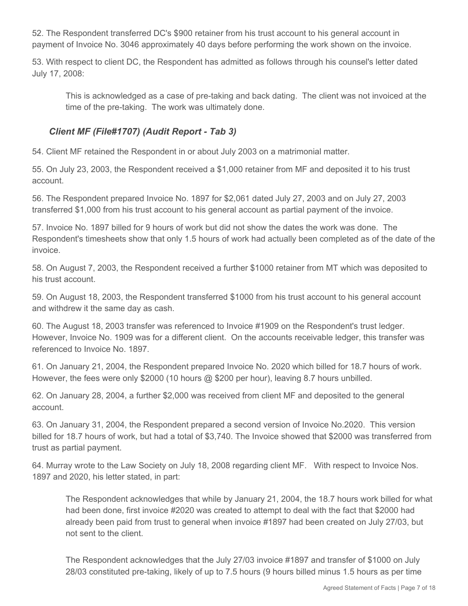52. The Respondent transferred DC's \$900 retainer from his trust account to his general account in payment of Invoice No. 3046 approximately 40 days before performing the work shown on the invoice.

53. With respect to client DC, the Respondent has admitted as follows through his counsel's letter dated July 17, 2008:

This is acknowledged as a case of pre-taking and back dating. The client was not invoiced at the time of the pre-taking. The work was ultimately done.

## *Client MF (File#1707) (Audit Report - Tab 3)*

54. Client MF retained the Respondent in or about July 2003 on a matrimonial matter.

55. On July 23, 2003, the Respondent received a \$1,000 retainer from MF and deposited it to his trust account.

56. The Respondent prepared Invoice No. 1897 for \$2,061 dated July 27, 2003 and on July 27, 2003 transferred \$1,000 from his trust account to his general account as partial payment of the invoice.

57. Invoice No. 1897 billed for 9 hours of work but did not show the dates the work was done. The Respondent's timesheets show that only 1.5 hours of work had actually been completed as of the date of the invoice.

58. On August 7, 2003, the Respondent received a further \$1000 retainer from MT which was deposited to his trust account.

59. On August 18, 2003, the Respondent transferred \$1000 from his trust account to his general account and withdrew it the same day as cash.

60. The August 18, 2003 transfer was referenced to Invoice #1909 on the Respondent's trust ledger. However, Invoice No. 1909 was for a different client. On the accounts receivable ledger, this transfer was referenced to Invoice No. 1897.

61. On January 21, 2004, the Respondent prepared Invoice No. 2020 which billed for 18.7 hours of work. However, the fees were only \$2000 (10 hours @ \$200 per hour), leaving 8.7 hours unbilled.

62. On January 28, 2004, a further \$2,000 was received from client MF and deposited to the general account.

63. On January 31, 2004, the Respondent prepared a second version of Invoice No.2020. This version billed for 18.7 hours of work, but had a total of \$3,740. The Invoice showed that \$2000 was transferred from trust as partial payment.

64. Murray wrote to the Law Society on July 18, 2008 regarding client MF. With respect to Invoice Nos. 1897 and 2020, his letter stated, in part:

The Respondent acknowledges that while by January 21, 2004, the 18.7 hours work billed for what had been done, first invoice #2020 was created to attempt to deal with the fact that \$2000 had already been paid from trust to general when invoice #1897 had been created on July 27/03, but not sent to the client.

The Respondent acknowledges that the July 27/03 invoice #1897 and transfer of \$1000 on July 28/03 constituted pre-taking, likely of up to 7.5 hours (9 hours billed minus 1.5 hours as per time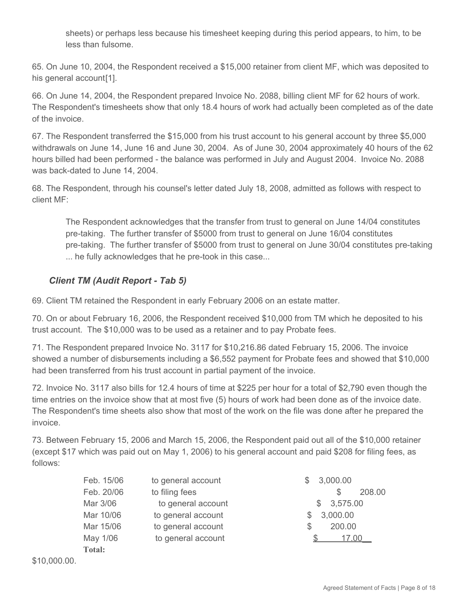sheets) or perhaps less because his timesheet keeping during this period appears, to him, to be less than fulsome.

65. On June 10, 2004, the Respondent received a \$15,000 retainer from client MF, which was deposited to his general account<sup>[1]</sup>.

66. On June 14, 2004, the Respondent prepared Invoice No. 2088, billing client MF for 62 hours of work. The Respondent's timesheets show that only 18.4 hours of work had actually been completed as of the date of the invoice.

67. The Respondent transferred the \$15,000 from his trust account to his general account by three \$5,000 withdrawals on June 14, June 16 and June 30, 2004. As of June 30, 2004 approximately 40 hours of the 62 hours billed had been performed - the balance was performed in July and August 2004. Invoice No. 2088 was back-dated to June 14, 2004.

68. The Respondent, through his counsel's letter dated July 18, 2008, admitted as follows with respect to client MF:

The Respondent acknowledges that the transfer from trust to general on June 14/04 constitutes pre-taking. The further transfer of \$5000 from trust to general on June 16/04 constitutes pre-taking. The further transfer of \$5000 from trust to general on June 30/04 constitutes pre-taking ... he fully acknowledges that he pre-took in this case...

# *Client TM (Audit Report - Tab 5)*

69. Client TM retained the Respondent in early February 2006 on an estate matter.

70. On or about February 16, 2006, the Respondent received \$10,000 from TM which he deposited to his trust account. The \$10,000 was to be used as a retainer and to pay Probate fees.

71. The Respondent prepared Invoice No. 3117 for \$10,216.86 dated February 15, 2006. The invoice showed a number of disbursements including a \$6,552 payment for Probate fees and showed that \$10,000 had been transferred from his trust account in partial payment of the invoice.

72. Invoice No. 3117 also bills for 12.4 hours of time at \$225 per hour for a total of \$2,790 even though the time entries on the invoice show that at most five (5) hours of work had been done as of the invoice date. The Respondent's time sheets also show that most of the work on the file was done after he prepared the invoice.

73. Between February 15, 2006 and March 15, 2006, the Respondent paid out all of the \$10,000 retainer (except \$17 which was paid out on May 1, 2006) to his general account and paid \$208 for filing fees, as follows:

| Feb. 15/06 | to general account | 3,000.00<br>$\mathbb{S}$ |
|------------|--------------------|--------------------------|
| Feb. 20/06 | to filing fees     | 208.00<br>S              |
| Mar 3/06   | to general account | \$3,575.00               |
| Mar 10/06  | to general account | 3,000.00                 |
| Mar 15/06  | to general account | 200.00<br>S              |
| May 1/06   | to general account | 17.00                    |
| Total:     |                    |                          |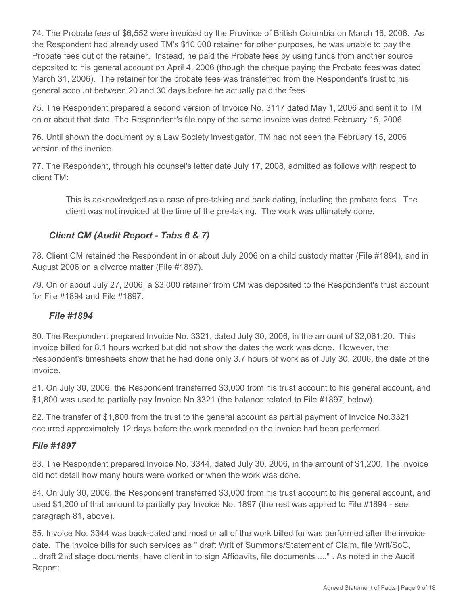74. The Probate fees of \$6,552 were invoiced by the Province of British Columbia on March 16, 2006. As the Respondent had already used TM's \$10,000 retainer for other purposes, he was unable to pay the Probate fees out of the retainer. Instead, he paid the Probate fees by using funds from another source deposited to his general account on April 4, 2006 (though the cheque paying the Probate fees was dated March 31, 2006). The retainer for the probate fees was transferred from the Respondent's trust to his general account between 20 and 30 days before he actually paid the fees.

75. The Respondent prepared a second version of Invoice No. 3117 dated May 1, 2006 and sent it to TM on or about that date. The Respondent's file copy of the same invoice was dated February 15, 2006.

76. Until shown the document by a Law Society investigator, TM had not seen the February 15, 2006 version of the invoice.

77. The Respondent, through his counsel's letter date July 17, 2008, admitted as follows with respect to client TM:

This is acknowledged as a case of pre-taking and back dating, including the probate fees. The client was not invoiced at the time of the pre-taking. The work was ultimately done.

# *Client CM (Audit Report - Tabs 6 & 7)*

78. Client CM retained the Respondent in or about July 2006 on a child custody matter (File #1894), and in August 2006 on a divorce matter (File #1897).

79. On or about July 27, 2006, a \$3,000 retainer from CM was deposited to the Respondent's trust account for File #1894 and File #1897.

## *File #1894*

80. The Respondent prepared Invoice No. 3321, dated July 30, 2006, in the amount of \$2,061.20. This invoice billed for 8.1 hours worked but did not show the dates the work was done. However, the Respondent's timesheets show that he had done only 3.7 hours of work as of July 30, 2006, the date of the invoice.

81. On July 30, 2006, the Respondent transferred \$3,000 from his trust account to his general account, and \$1,800 was used to partially pay Invoice No.3321 (the balance related to File #1897, below).

82. The transfer of \$1,800 from the trust to the general account as partial payment of Invoice No.3321 occurred approximately 12 days before the work recorded on the invoice had been performed.

### *File #1897*

83. The Respondent prepared Invoice No. 3344, dated July 30, 2006, in the amount of \$1,200. The invoice did not detail how many hours were worked or when the work was done.

84. On July 30, 2006, the Respondent transferred \$3,000 from his trust account to his general account, and used \$1,200 of that amount to partially pay Invoice No. 1897 (the rest was applied to File #1894 - see paragraph 81, above).

85. Invoice No. 3344 was back-dated and most or all of the work billed for was performed after the invoice date. The invoice bills for such services as " draft Writ of Summons/Statement of Claim, file Writ/SoC, ...draft 2 nd stage documents, have client in to sign Affidavits, file documents ...." . As noted in the Audit Report: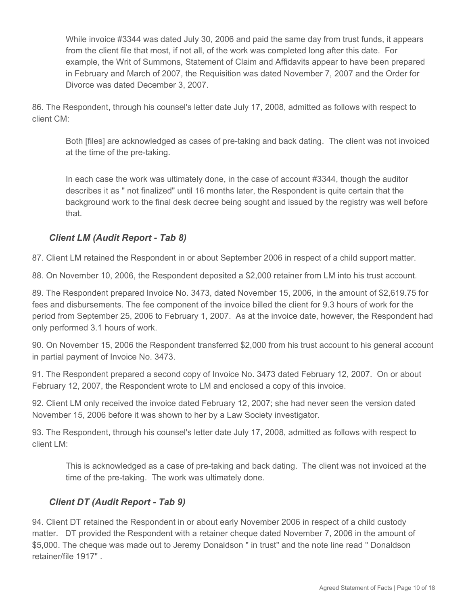While invoice #3344 was dated July 30, 2006 and paid the same day from trust funds, it appears from the client file that most, if not all, of the work was completed long after this date. For example, the Writ of Summons, Statement of Claim and Affidavits appear to have been prepared in February and March of 2007, the Requisition was dated November 7, 2007 and the Order for Divorce was dated December 3, 2007.

86. The Respondent, through his counsel's letter date July 17, 2008, admitted as follows with respect to client CM:

Both [files] are acknowledged as cases of pre-taking and back dating. The client was not invoiced at the time of the pre-taking.

In each case the work was ultimately done, in the case of account #3344, though the auditor describes it as " not finalized" until 16 months later, the Respondent is quite certain that the background work to the final desk decree being sought and issued by the registry was well before that.

## *Client LM (Audit Report - Tab 8)*

87. Client LM retained the Respondent in or about September 2006 in respect of a child support matter.

88. On November 10, 2006, the Respondent deposited a \$2,000 retainer from LM into his trust account.

89. The Respondent prepared Invoice No. 3473, dated November 15, 2006, in the amount of \$2,619.75 for fees and disbursements. The fee component of the invoice billed the client for 9.3 hours of work for the period from September 25, 2006 to February 1, 2007. As at the invoice date, however, the Respondent had only performed 3.1 hours of work.

90. On November 15, 2006 the Respondent transferred \$2,000 from his trust account to his general account in partial payment of Invoice No. 3473.

91. The Respondent prepared a second copy of Invoice No. 3473 dated February 12, 2007. On or about February 12, 2007, the Respondent wrote to LM and enclosed a copy of this invoice.

92. Client LM only received the invoice dated February 12, 2007; she had never seen the version dated November 15, 2006 before it was shown to her by a Law Society investigator.

93. The Respondent, through his counsel's letter date July 17, 2008, admitted as follows with respect to client LM:

This is acknowledged as a case of pre-taking and back dating. The client was not invoiced at the time of the pre-taking. The work was ultimately done.

# *Client DT (Audit Report - Tab 9)*

94. Client DT retained the Respondent in or about early November 2006 in respect of a child custody matter. DT provided the Respondent with a retainer cheque dated November 7, 2006 in the amount of \$5,000. The cheque was made out to Jeremy Donaldson " in trust" and the note line read " Donaldson retainer/file 1917" .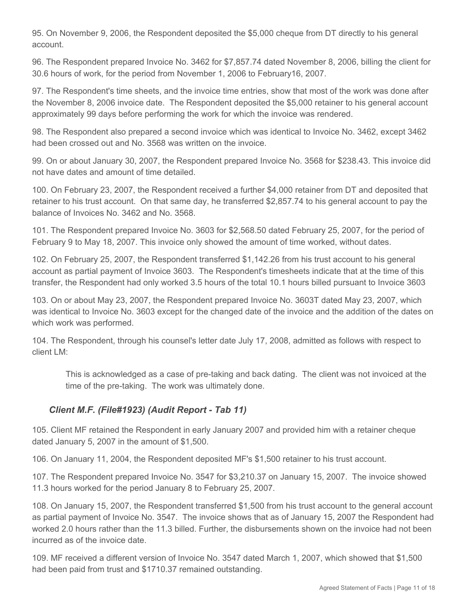95. On November 9, 2006, the Respondent deposited the \$5,000 cheque from DT directly to his general account.

96. The Respondent prepared Invoice No. 3462 for \$7,857.74 dated November 8, 2006, billing the client for 30.6 hours of work, for the period from November 1, 2006 to February16, 2007.

97. The Respondent's time sheets, and the invoice time entries, show that most of the work was done after the November 8, 2006 invoice date. The Respondent deposited the \$5,000 retainer to his general account approximately 99 days before performing the work for which the invoice was rendered.

98. The Respondent also prepared a second invoice which was identical to Invoice No. 3462, except 3462 had been crossed out and No. 3568 was written on the invoice.

99. On or about January 30, 2007, the Respondent prepared Invoice No. 3568 for \$238.43. This invoice did not have dates and amount of time detailed.

100. On February 23, 2007, the Respondent received a further \$4,000 retainer from DT and deposited that retainer to his trust account. On that same day, he transferred \$2,857.74 to his general account to pay the balance of Invoices No. 3462 and No. 3568.

101. The Respondent prepared Invoice No. 3603 for \$2,568.50 dated February 25, 2007, for the period of February 9 to May 18, 2007. This invoice only showed the amount of time worked, without dates.

102. On February 25, 2007, the Respondent transferred \$1,142.26 from his trust account to his general account as partial payment of Invoice 3603. The Respondent's timesheets indicate that at the time of this transfer, the Respondent had only worked 3.5 hours of the total 10.1 hours billed pursuant to Invoice 3603

103. On or about May 23, 2007, the Respondent prepared Invoice No. 3603T dated May 23, 2007, which was identical to Invoice No. 3603 except for the changed date of the invoice and the addition of the dates on which work was performed.

104. The Respondent, through his counsel's letter date July 17, 2008, admitted as follows with respect to client LM:

This is acknowledged as a case of pre-taking and back dating. The client was not invoiced at the time of the pre-taking. The work was ultimately done.

## *Client M.F. (File#1923) (Audit Report - Tab 11)*

105. Client MF retained the Respondent in early January 2007 and provided him with a retainer cheque dated January 5, 2007 in the amount of \$1,500.

106. On January 11, 2004, the Respondent deposited MF's \$1,500 retainer to his trust account.

107. The Respondent prepared Invoice No. 3547 for \$3,210.37 on January 15, 2007. The invoice showed 11.3 hours worked for the period January 8 to February 25, 2007.

108. On January 15, 2007, the Respondent transferred \$1,500 from his trust account to the general account as partial payment of Invoice No. 3547. The invoice shows that as of January 15, 2007 the Respondent had worked 2.0 hours rather than the 11.3 billed. Further, the disbursements shown on the invoice had not been incurred as of the invoice date.

109. MF received a different version of Invoice No. 3547 dated March 1, 2007, which showed that \$1,500 had been paid from trust and \$1710.37 remained outstanding.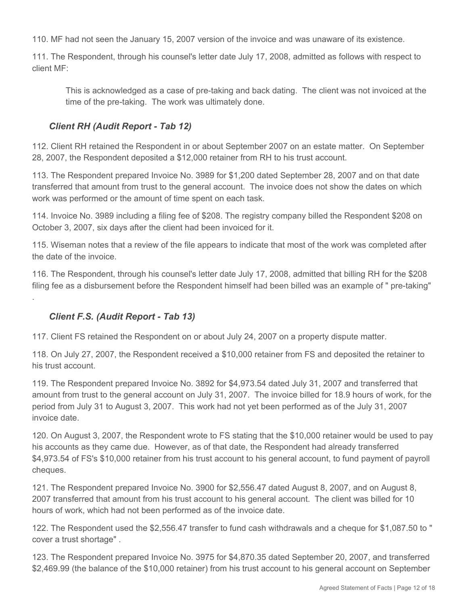110. MF had not seen the January 15, 2007 version of the invoice and was unaware of its existence.

111. The Respondent, through his counsel's letter date July 17, 2008, admitted as follows with respect to client MF:

This is acknowledged as a case of pre-taking and back dating. The client was not invoiced at the time of the pre-taking. The work was ultimately done.

## *Client RH (Audit Report - Tab 12)*

112. Client RH retained the Respondent in or about September 2007 on an estate matter. On September 28, 2007, the Respondent deposited a \$12,000 retainer from RH to his trust account.

113. The Respondent prepared Invoice No. 3989 for \$1,200 dated September 28, 2007 and on that date transferred that amount from trust to the general account. The invoice does not show the dates on which work was performed or the amount of time spent on each task.

114. Invoice No. 3989 including a filing fee of \$208. The registry company billed the Respondent \$208 on October 3, 2007, six days after the client had been invoiced for it.

115. Wiseman notes that a review of the file appears to indicate that most of the work was completed after the date of the invoice.

116. The Respondent, through his counsel's letter date July 17, 2008, admitted that billing RH for the \$208 filing fee as a disbursement before the Respondent himself had been billed was an example of " pre-taking" .

# *Client F.S. (Audit Report - Tab 13)*

117. Client FS retained the Respondent on or about July 24, 2007 on a property dispute matter.

118. On July 27, 2007, the Respondent received a \$10,000 retainer from FS and deposited the retainer to his trust account.

119. The Respondent prepared Invoice No. 3892 for \$4,973.54 dated July 31, 2007 and transferred that amount from trust to the general account on July 31, 2007. The invoice billed for 18.9 hours of work, for the period from July 31 to August 3, 2007. This work had not yet been performed as of the July 31, 2007 invoice date.

120. On August 3, 2007, the Respondent wrote to FS stating that the \$10,000 retainer would be used to pay his accounts as they came due. However, as of that date, the Respondent had already transferred \$4,973.54 of FS's \$10,000 retainer from his trust account to his general account, to fund payment of payroll cheques.

121. The Respondent prepared Invoice No. 3900 for \$2,556.47 dated August 8, 2007, and on August 8, 2007 transferred that amount from his trust account to his general account. The client was billed for 10 hours of work, which had not been performed as of the invoice date.

122. The Respondent used the \$2,556.47 transfer to fund cash withdrawals and a cheque for \$1,087.50 to " cover a trust shortage" .

123. The Respondent prepared Invoice No. 3975 for \$4,870.35 dated September 20, 2007, and transferred \$2,469.99 (the balance of the \$10,000 retainer) from his trust account to his general account on September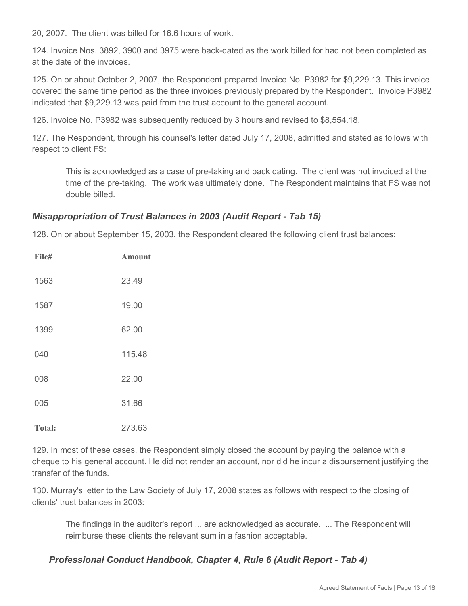20, 2007. The client was billed for 16.6 hours of work.

124. Invoice Nos. 3892, 3900 and 3975 were back-dated as the work billed for had not been completed as at the date of the invoices.

125. On or about October 2, 2007, the Respondent prepared Invoice No. P3982 for \$9,229.13. This invoice covered the same time period as the three invoices previously prepared by the Respondent. Invoice P3982 indicated that \$9,229.13 was paid from the trust account to the general account.

126. Invoice No. P3982 was subsequently reduced by 3 hours and revised to \$8,554.18.

127. The Respondent, through his counsel's letter dated July 17, 2008, admitted and stated as follows with respect to client FS:

This is acknowledged as a case of pre-taking and back dating. The client was not invoiced at the time of the pre-taking. The work was ultimately done. The Respondent maintains that FS was not double billed.

## *Misappropriation of Trust Balances in 2003 (Audit Report - Tab 15)*

128. On or about September 15, 2003, the Respondent cleared the following client trust balances:

| File#         | <b>Amount</b> |
|---------------|---------------|
| 1563          | 23.49         |
| 1587          | 19.00         |
| 1399          | 62.00         |
| 040           | 115.48        |
| 008           | 22.00         |
| 005           | 31.66         |
| <b>Total:</b> | 273.63        |

129. In most of these cases, the Respondent simply closed the account by paying the balance with a cheque to his general account. He did not render an account, nor did he incur a disbursement justifying the transfer of the funds.

130. Murray's letter to the Law Society of July 17, 2008 states as follows with respect to the closing of clients' trust balances in 2003:

The findings in the auditor's report ... are acknowledged as accurate. ... The Respondent will reimburse these clients the relevant sum in a fashion acceptable.

## *Professional Conduct Handbook, Chapter 4, Rule 6 (Audit Report - Tab 4)*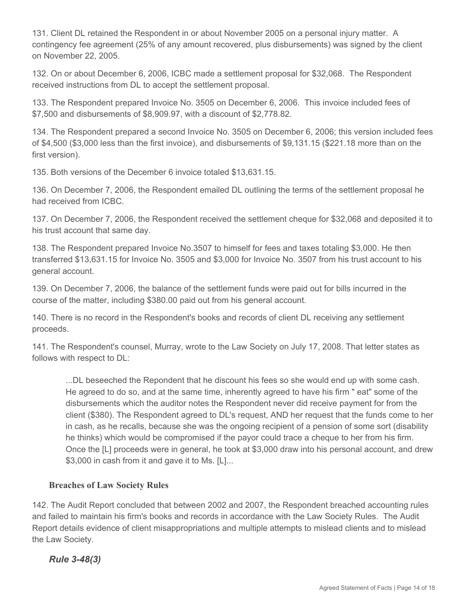131. Client DL retained the Respondent in or about November 2005 on a personal injury matter. A contingency fee agreement (25% of any amount recovered, plus disbursements) was signed by the client on November 22, 2005.

132. On or about December 6, 2006, ICBC made a settlement proposal for \$32,068. The Respondent received instructions from DL to accept the settlement proposal.

133. The Respondent prepared Invoice No. 3505 on December 6, 2006. This invoice included fees of \$7,500 and disbursements of \$8,909.97, with a discount of \$2,778.82.

134. The Respondent prepared a second Invoice No. 3505 on December 6, 2006; this version included fees of \$4,500 (\$3,000 less than the first invoice), and disbursements of \$9,131.15 (\$221.18 more than on the first version).

135. Both versions of the December 6 invoice totaled \$13,631.15.

136. On December 7, 2006, the Respondent emailed DL outlining the terms of the settlement proposal he had received from ICBC.

137. On December 7, 2006, the Respondent received the settlement cheque for \$32,068 and deposited it to his trust account that same day.

138. The Respondent prepared Invoice No.3507 to himself for fees and taxes totaling \$3,000. He then transferred \$13,631.15 for Invoice No. 3505 and \$3,000 for Invoice No. 3507 from his trust account to his general account.

139. On December 7, 2006, the balance of the settlement funds were paid out for bills incurred in the course of the matter, including \$380.00 paid out from his general account.

140. There is no record in the Respondent's books and records of client DL receiving any settlement proceeds.

141. The Respondent's counsel, Murray, wrote to the Law Society on July 17, 2008. That letter states as follows with respect to DL:

...DL beseeched the Repondent that he discount his fees so she would end up with some cash. He agreed to do so, and at the same time, inherently agreed to have his firm " eat" some of the disbursements which the auditor notes the Respondent never did receive payment for from the client (\$380). The Respondent agreed to DL's request, AND her request that the funds come to her in cash, as he recalls, because she was the ongoing recipient of a pension of some sort (disability he thinks) which would be compromised if the payor could trace a cheque to her from his firm. Once the [L] proceeds were in general, he took at \$3,000 draw into his personal account, and drew \$3,000 in cash from it and gave it to Ms. [L]...

### **Breaches of Law Society Rules**

142. The Audit Report concluded that between 2002 and 2007, the Respondent breached accounting rules and failed to maintain his firm's books and records in accordance with the Law Society Rules. The Audit Report details evidence of client misappropriations and multiple attempts to mislead clients and to mislead the Law Society.

*Rule 3-48(3)*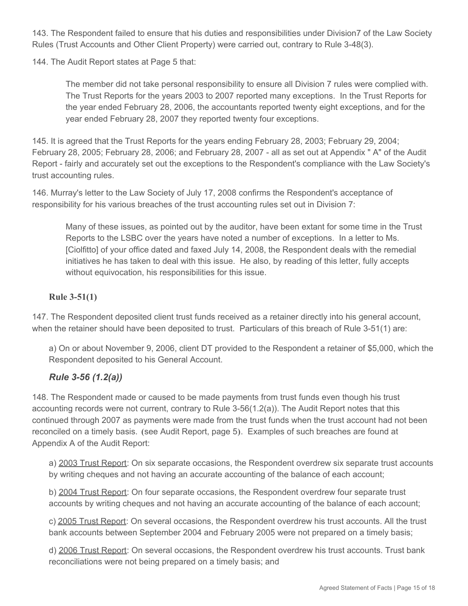143. The Respondent failed to ensure that his duties and responsibilities under Division7 of the Law Society Rules (Trust Accounts and Other Client Property) were carried out, contrary to Rule 3-48(3).

144. The Audit Report states at Page 5 that:

The member did not take personal responsibility to ensure all Division 7 rules were complied with. The Trust Reports for the years 2003 to 2007 reported many exceptions. In the Trust Reports for the year ended February 28, 2006, the accountants reported twenty eight exceptions, and for the year ended February 28, 2007 they reported twenty four exceptions.

145. It is agreed that the Trust Reports for the years ending February 28, 2003; February 29, 2004; February 28, 2005; February 28, 2006; and February 28, 2007 - all as set out at Appendix " A" of the Audit Report - fairly and accurately set out the exceptions to the Respondent's compliance with the Law Society's trust accounting rules.

146. Murray's letter to the Law Society of July 17, 2008 confirms the Respondent's acceptance of responsibility for his various breaches of the trust accounting rules set out in Division 7:

Many of these issues, as pointed out by the auditor, have been extant for some time in the Trust Reports to the LSBC over the years have noted a number of exceptions. In a letter to Ms. [Ciolfitto] of your office dated and faxed July 14, 2008, the Respondent deals with the remedial initiatives he has taken to deal with this issue. He also, by reading of this letter, fully accepts without equivocation, his responsibilities for this issue.

### **Rule 3-51(1)**

147. The Respondent deposited client trust funds received as a retainer directly into his general account, when the retainer should have been deposited to trust. Particulars of this breach of Rule 3-51(1) are:

a) On or about November 9, 2006, client DT provided to the Respondent a retainer of \$5,000, which the Respondent deposited to his General Account.

## *Rule 3-56 (1.2(a))*

148. The Respondent made or caused to be made payments from trust funds even though his trust accounting records were not current, contrary to Rule 3-56(1.2(a)). The Audit Report notes that this continued through 2007 as payments were made from the trust funds when the trust account had not been reconciled on a timely basis. **(**see Audit Report, page 5**)**. Examples of such breaches are found at Appendix A of the Audit Report:

a) 2003 Trust Report: On six separate occasions, the Respondent overdrew six separate trust accounts by writing cheques and not having an accurate accounting of the balance of each account;

b) 2004 Trust Report: On four separate occasions, the Respondent overdrew four separate trust accounts by writing cheques and not having an accurate accounting of the balance of each account;

c) 2005 Trust Report: On several occasions, the Respondent overdrew his trust accounts. All the trust bank accounts between September 2004 and February 2005 were not prepared on a timely basis;

d) 2006 Trust Report: On several occasions, the Respondent overdrew his trust accounts. Trust bank reconciliations were not being prepared on a timely basis; and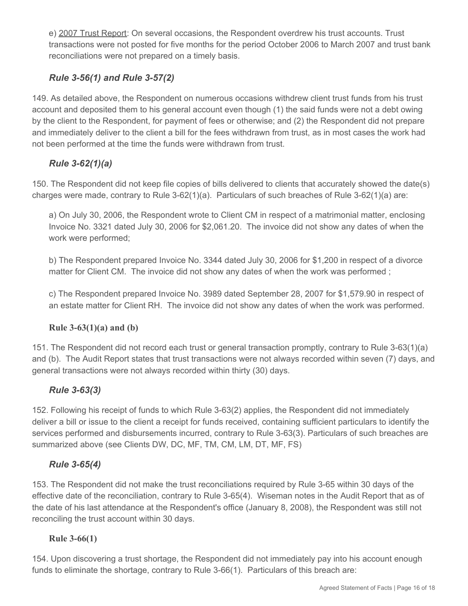e) 2007 Trust Report: On several occasions, the Respondent overdrew his trust accounts. Trust transactions were not posted for five months for the period October 2006 to March 2007 and trust bank reconciliations were not prepared on a timely basis.

# *Rule 3-56(1) and Rule 3-57(2)*

149. As detailed above, the Respondent on numerous occasions withdrew client trust funds from his trust account and deposited them to his general account even though (1) the said funds were not a debt owing by the client to the Respondent, for payment of fees or otherwise; and (2) the Respondent did not prepare and immediately deliver to the client a bill for the fees withdrawn from trust, as in most cases the work had not been performed at the time the funds were withdrawn from trust.

# *Rule 3-62(1)(a)*

150. The Respondent did not keep file copies of bills delivered to clients that accurately showed the date(s) charges were made, contrary to Rule 3-62(1)(a). Particulars of such breaches of Rule 3-62(1)(a) are:

a) On July 30, 2006, the Respondent wrote to Client CM in respect of a matrimonial matter, enclosing Invoice No. 3321 dated July 30, 2006 for \$2,061.20. The invoice did not show any dates of when the work were performed;

b) The Respondent prepared Invoice No. 3344 dated July 30, 2006 for \$1,200 in respect of a divorce matter for Client CM. The invoice did not show any dates of when the work was performed ;

c) The Respondent prepared Invoice No. 3989 dated September 28, 2007 for \$1,579.90 in respect of an estate matter for Client RH. The invoice did not show any dates of when the work was performed.

## **Rule 3-63(1)(a) and (b)**

151. The Respondent did not record each trust or general transaction promptly, contrary to Rule 3-63(1)(a) and (b). The Audit Report states that trust transactions were not always recorded within seven (7) days, and general transactions were not always recorded within thirty (30) days.

# *Rule 3-63(3)*

152. Following his receipt of funds to which Rule 3-63(2) applies, the Respondent did not immediately deliver a bill or issue to the client a receipt for funds received, containing sufficient particulars to identify the services performed and disbursements incurred, contrary to Rule 3-63(3). Particulars of such breaches are summarized above (see Clients DW, DC, MF, TM, CM, LM, DT, MF, FS)

# *Rule 3-65(4)*

153. The Respondent did not make the trust reconciliations required by Rule 3-65 within 30 days of the effective date of the reconciliation, contrary to Rule 3-65(4). Wiseman notes in the Audit Report that as of the date of his last attendance at the Respondent's office (January 8, 2008), the Respondent was still not reconciling the trust account within 30 days.

## **Rule 3-66(1)**

154. Upon discovering a trust shortage, the Respondent did not immediately pay into his account enough funds to eliminate the shortage, contrary to Rule 3-66(1). Particulars of this breach are: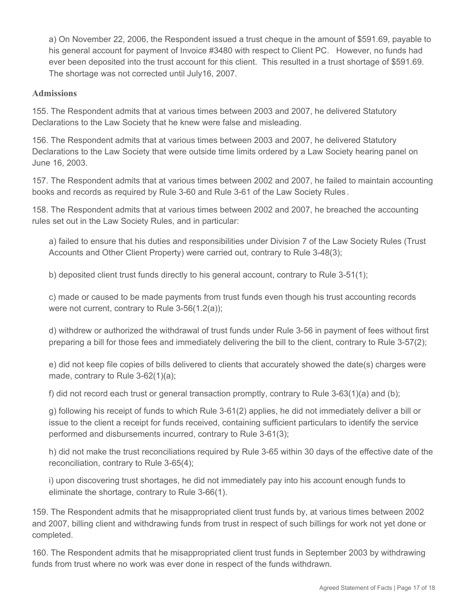a) On November 22, 2006, the Respondent issued a trust cheque in the amount of \$591.69, payable to his general account for payment of Invoice #3480 with respect to Client PC. However, no funds had ever been deposited into the trust account for this client. This resulted in a trust shortage of \$591.69. The shortage was not corrected until July16, 2007.

#### **Admissions**

155. The Respondent admits that at various times between 2003 and 2007, he delivered Statutory Declarations to the Law Society that he knew were false and misleading.

156. The Respondent admits that at various times between 2003 and 2007, he delivered Statutory Declarations to the Law Society that were outside time limits ordered by a Law Society hearing panel on June 16, 2003.

157. The Respondent admits that at various times between 2002 and 2007, he failed to maintain accounting books and records as required by Rule 3-60 and Rule 3-61 of the Law Society Rules *.*

158. The Respondent admits that at various times between 2002 and 2007, he breached the accounting rules set out in the Law Society Rules, and in particular:

a) failed to ensure that his duties and responsibilities under Division 7 of the Law Society Rules (Trust Accounts and Other Client Property) were carried out, contrary to Rule 3-48(3);

b) deposited client trust funds directly to his general account, contrary to Rule 3-51(1);

c) made or caused to be made payments from trust funds even though his trust accounting records were not current, contrary to Rule 3-56(1.2(a));

d) withdrew or authorized the withdrawal of trust funds under Rule 3-56 in payment of fees without first preparing a bill for those fees and immediately delivering the bill to the client, contrary to Rule 3-57(2);

e) did not keep file copies of bills delivered to clients that accurately showed the date(s) charges were made, contrary to Rule 3-62(1)(a);

f) did not record each trust or general transaction promptly, contrary to Rule 3-63(1)(a) and (b);

g) following his receipt of funds to which Rule 3-61(2) applies, he did not immediately deliver a bill or issue to the client a receipt for funds received, containing sufficient particulars to identify the service performed and disbursements incurred, contrary to Rule 3-61(3);

h) did not make the trust reconciliations required by Rule 3-65 within 30 days of the effective date of the reconciliation, contrary to Rule 3-65(4);

i) upon discovering trust shortages, he did not immediately pay into his account enough funds to eliminate the shortage, contrary to Rule 3-66(1).

159. The Respondent admits that he misappropriated client trust funds by, at various times between 2002 and 2007, billing client and withdrawing funds from trust in respect of such billings for work not yet done or completed.

160. The Respondent admits that he misappropriated client trust funds in September 2003 by withdrawing funds from trust where no work was ever done in respect of the funds withdrawn.